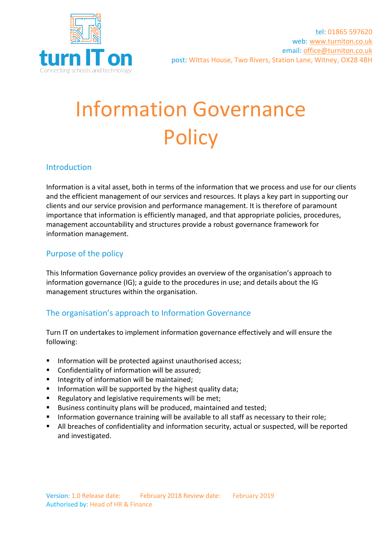

# Information Governance **Policy**

## Introduction

Information is a vital asset, both in terms of the information that we process and use for our clients and the efficient management of our services and resources. It plays a key part in supporting our clients and our service provision and performance management. It is therefore of paramount importance that information is efficiently managed, and that appropriate policies, procedures, management accountability and structures provide a robust governance framework for information management.

### Purpose of the policy

This Information Governance policy provides an overview of the organisation's approach to information governance (IG); a guide to the procedures in use; and details about the IG management structures within the organisation.

#### The organisation's approach to Information Governance

Turn IT on undertakes to implement information governance effectively and will ensure the following:

- Information will be protected against unauthorised access;
- Confidentiality of information will be assured;
- Integrity of information will be maintained;
- Information will be supported by the highest quality data;
- Regulatory and legislative requirements will be met;
- Business continuity plans will be produced, maintained and tested;
- **■** Information governance training will be available to all staff as necessary to their role;
- All breaches of confidentiality and information security, actual or suspected, will be reported and investigated.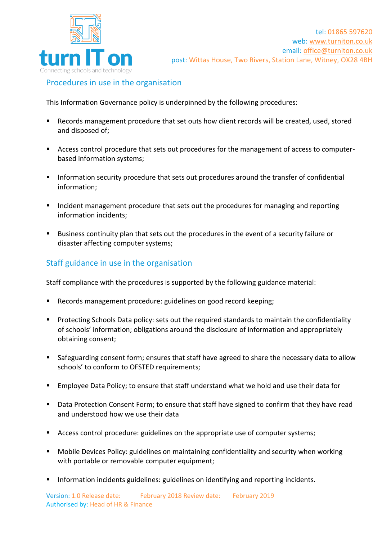

## Procedures in use in the organisation

This Information Governance policy is underpinned by the following procedures:

- Records management procedure that set outs how client records will be created, used, stored and disposed of;
- Access control procedure that sets out procedures for the management of access to computerbased information systems;
- **EXTERCH Information security procedure that sets out procedures around the transfer of confidential** information;
- Incident management procedure that sets out the procedures for managing and reporting information incidents;
- Business continuity plan that sets out the procedures in the event of a security failure or disaster affecting computer systems;

## Staff guidance in use in the organisation

Staff compliance with the procedures is supported by the following guidance material:

- Records management procedure: guidelines on good record keeping;
- Protecting Schools Data policy: sets out the required standards to maintain the confidentiality of schools' information; obligations around the disclosure of information and appropriately obtaining consent;
- Safeguarding consent form; ensures that staff have agreed to share the necessary data to allow schools' to conform to OFSTED requirements:
- Employee Data Policy; to ensure that staff understand what we hold and use their data for
- Data Protection Consent Form; to ensure that staff have signed to confirm that they have read and understood how we use their data
- Access control procedure: guidelines on the appropriate use of computer systems;
- Mobile Devices Policy: guidelines on maintaining confidentiality and security when working with portable or removable computer equipment;
- **■** Information incidents guidelines: guidelines on identifying and reporting incidents.

Version: 1.0 Release date: February 2018 Review date: February 2019 Authorised by: Head of HR & Finance